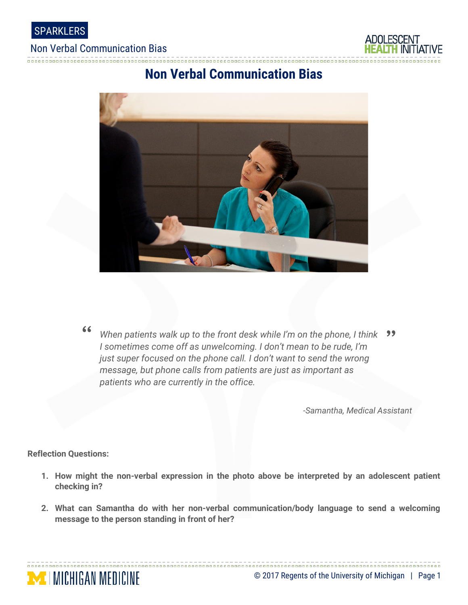

#### Non Verbal Communication Bias



### **Non Verbal Communication Bias**



When patients walk up to the front desk while I'm on the phone, I think  $\frac{1}{2}$ <br>I sometimes come off as unwelcoming. I don't mean to be rude, I'm *When patients walk up to the front desk while I'm on the phone, I think I sometimes come off as unwelcoming. I don't mean to be rude, I'm just super focused on the phone call. I don't want to send the wrong message, but phone calls from patients are just as important as patients who are currently in the office.*

*-Samantha, Medical Assistant*

**Reflection Questions:**

**MICHIGAN MEDICINE** 

- **1. How might the non-verbal expression in the photo above be interpreted by an adolescent patient checking in?**
- **2. What can Samantha do with her non-verbal communication/body language to send a welcoming message to the person standing in front of her?**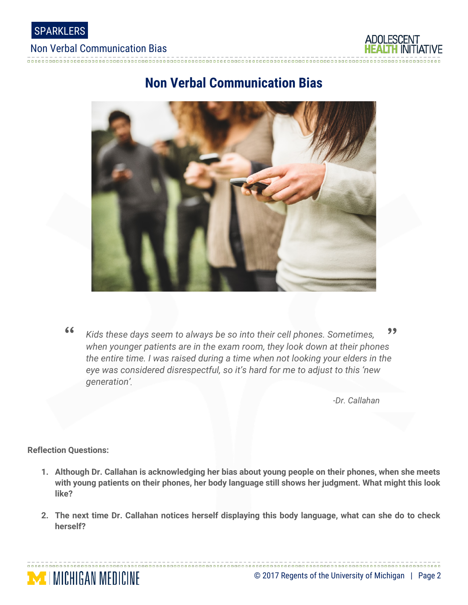

### Non Verbal Communication Bias



# **Non Verbal Communication Bias**



" " *when younger patients are in the exam room, they look down at their phones Kids these days seem to always be so into their cell phones. Sometimes, the entire time. I was raised during a time when not looking your elders in the eye was considered disrespectful, so it's hard for me to adjust to this 'new generation'.*

*-Dr. Callahan*

**Reflection Questions:**

**MICHIGAN MEDICINE** 

- **1. Although Dr. Callahan is acknowledging her bias about young people on their phones, when she meets with young patients on their phones, her body language still shows her judgment. What might this look like?**
- **2. The next time Dr. Callahan notices herself displaying this body language, what can she do to check herself?**